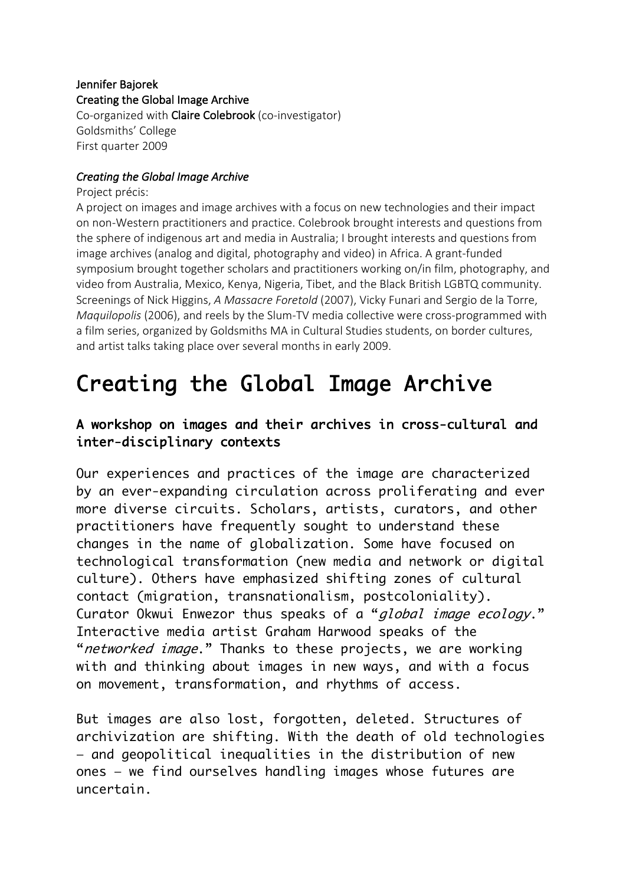## Jennifer Bajorek Creating the Global Image Archive Co-organized with Claire Colebrook (co-investigator) Goldsmiths' College First quarter 2009

## *Creating the Global Image Archive*

Project précis:

A project on images and image archives with a focus on new technologies and their impact on non-Western practitioners and practice. Colebrook brought interests and questions from the sphere of indigenous art and media in Australia; I brought interests and questions from image archives (analog and digital, photography and video) in Africa. A grant-funded symposium brought together scholars and practitioners working on/in film, photography, and video from Australia, Mexico, Kenya, Nigeria, Tibet, and the Black British LGBTQ community. Screenings of Nick Higgins, *A Massacre Foretold* (2007), Vicky Funari and Sergio de la Torre, *Maquilopolis* (2006), and reels by the Slum-TV media collective were cross-programmed with a film series, organized by Goldsmiths MA in Cultural Studies students, on border cultures, and artist talks taking place over several months in early 2009.

## Creating the Global Image Archive

## A workshop on images and their archives in cross-cultural and inter-disciplinary contexts

Our experiences and practices of the image are characterized by an ever-expanding circulation across proliferating and ever more diverse circuits. Scholars, artists, curators, and other practitioners have frequently sought to understand these changes in the name of globalization. Some have focused on technological transformation (new media and network or digital culture). Others have emphasized shifting zones of cultural contact (migration, transnationalism, postcoloniality). Curator Okwui Enwezor thus speaks of a "global image ecology." Interactive media artist Graham Harwood speaks of the "networked image." Thanks to these projects, we are working with and thinking about images in new ways, and with a focus on movement, transformation, and rhythms of access.

But images are also lost, forgotten, deleted. Structures of archivization are shifting. With the death of old technologies — and geopolitical inequalities in the distribution of new ones — we find ourselves handling images whose futures are uncertain.